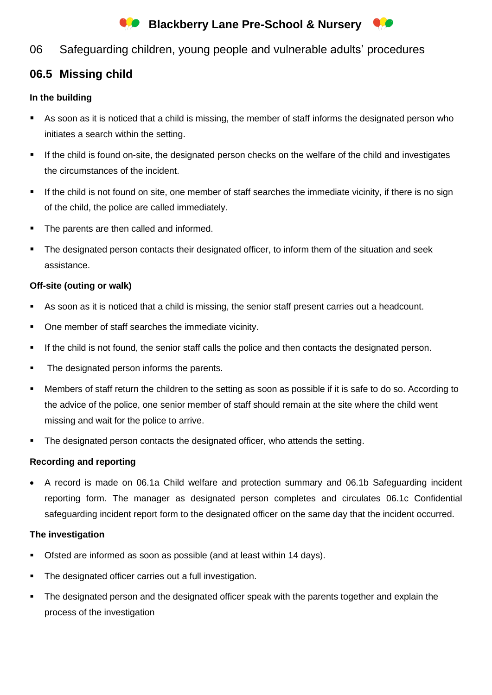# **Blackberry Lane Pre-School & Nursery**



## 06 Safeguarding children, young people and vulnerable adults' procedures

## **06.5 Missing child**

## **In the building**

- As soon as it is noticed that a child is missing, the member of staff informs the designated person who initiates a search within the setting.
- If the child is found on-site, the designated person checks on the welfare of the child and investigates the circumstances of the incident.
- If the child is not found on site, one member of staff searches the immediate vicinity, if there is no sign of the child, the police are called immediately.
- The parents are then called and informed.
- The designated person contacts their designated officer, to inform them of the situation and seek assistance.

#### **Off-site (outing or walk)**

- As soon as it is noticed that a child is missing, the senior staff present carries out a headcount.
- One member of staff searches the immediate vicinity.
- If the child is not found, the senior staff calls the police and then contacts the designated person.
- The designated person informs the parents.
- Members of staff return the children to the setting as soon as possible if it is safe to do so. According to the advice of the police, one senior member of staff should remain at the site where the child went missing and wait for the police to arrive.
- **•** The designated person contacts the designated officer, who attends the setting.

### **Recording and reporting**

• A record is made on 06.1a Child welfare and protection summary and 06.1b Safeguarding incident reporting form. The manager as designated person completes and circulates 06.1c Confidential safeguarding incident report form to the designated officer on the same day that the incident occurred.

### **The investigation**

- Ofsted are informed as soon as possible (and at least within 14 days).
- The designated officer carries out a full investigation.
- The designated person and the designated officer speak with the parents together and explain the process of the investigation